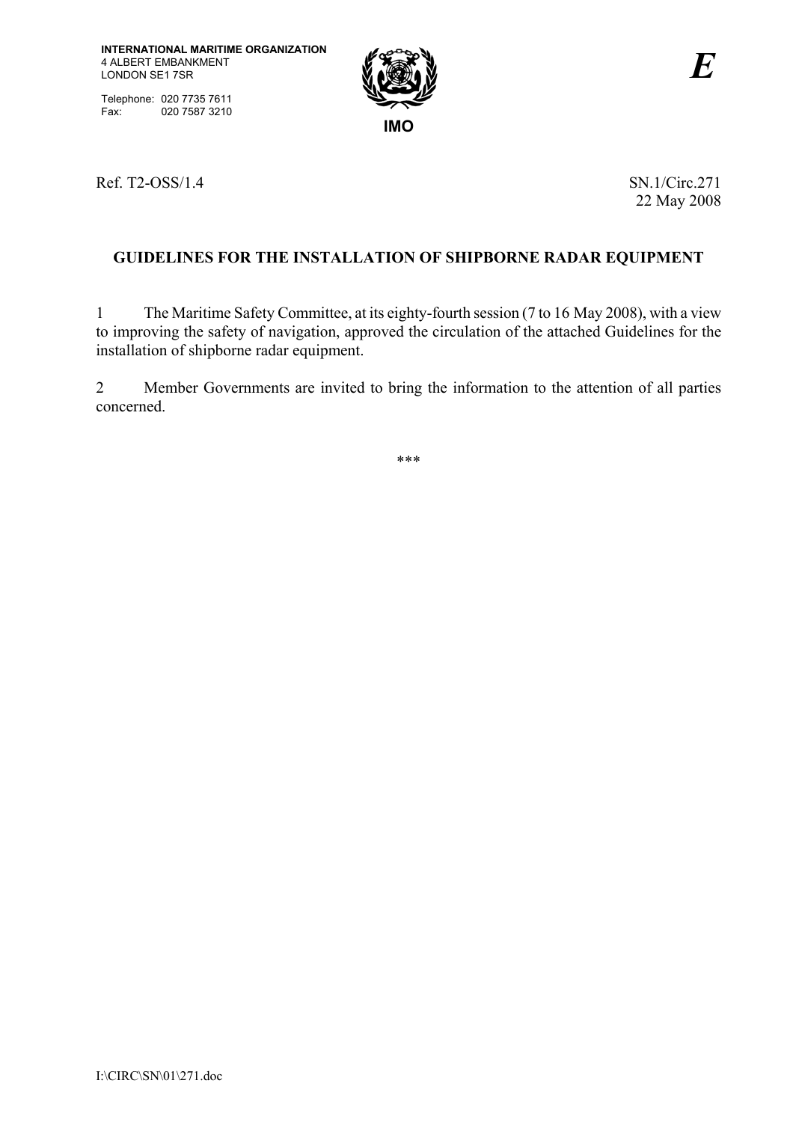Telephone: 020 7735 7611 Fax: 020 7587 3210



Ref. T2-OSS/1.4 SN.1/Circ.271

22 May 2008

# **GUIDELINES FOR THE INSTALLATION OF SHIPBORNE RADAR EQUIPMENT**

1 The Maritime Safety Committee, at its eighty-fourth session (7 to 16 May 2008), with a view to improving the safety of navigation, approved the circulation of the attached Guidelines for the installation of shipborne radar equipment.

2 Member Governments are invited to bring the information to the attention of all parties concerned.

\*\*\*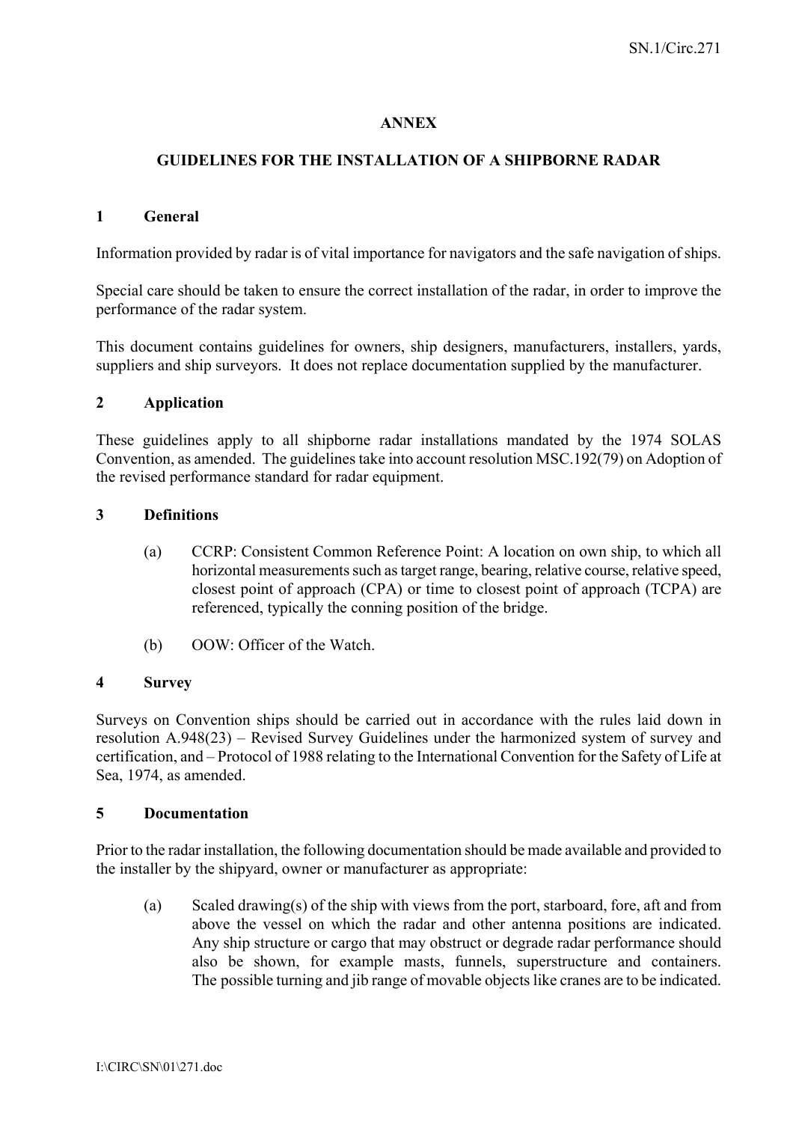# **ANNEX**

# **GUIDELINES FOR THE INSTALLATION OF A SHIPBORNE RADAR**

#### **1 General**

Information provided by radar is of vital importance for navigators and the safe navigation of ships.

Special care should be taken to ensure the correct installation of the radar, in order to improve the performance of the radar system.

This document contains guidelines for owners, ship designers, manufacturers, installers, yards, suppliers and ship surveyors. It does not replace documentation supplied by the manufacturer.

## **2 Application**

These guidelines apply to all shipborne radar installations mandated by the 1974 SOLAS Convention, as amended. The guidelines take into account resolution MSC.192(79) on Adoption of the revised performance standard for radar equipment.

## **3 Definitions**

- (a) CCRP: Consistent Common Reference Point: A location on own ship, to which all horizontal measurements such as target range, bearing, relative course, relative speed, closest point of approach (CPA) or time to closest point of approach (TCPA) are referenced, typically the conning position of the bridge.
- (b) OOW: Officer of the Watch.

#### **4 Survey**

Surveys on Convention ships should be carried out in accordance with the rules laid down in resolution A.948(23) – Revised Survey Guidelines under the harmonized system of survey and certification, and – Protocol of 1988 relating to the International Convention for the Safety of Life at Sea, 1974, as amended.

#### **5 Documentation**

Prior to the radar installation, the following documentation should be made available and provided to the installer by the shipyard, owner or manufacturer as appropriate:

(a) Scaled drawing(s) of the ship with views from the port, starboard, fore, aft and from above the vessel on which the radar and other antenna positions are indicated. Any ship structure or cargo that may obstruct or degrade radar performance should also be shown, for example masts, funnels, superstructure and containers. The possible turning and jib range of movable objects like cranes are to be indicated.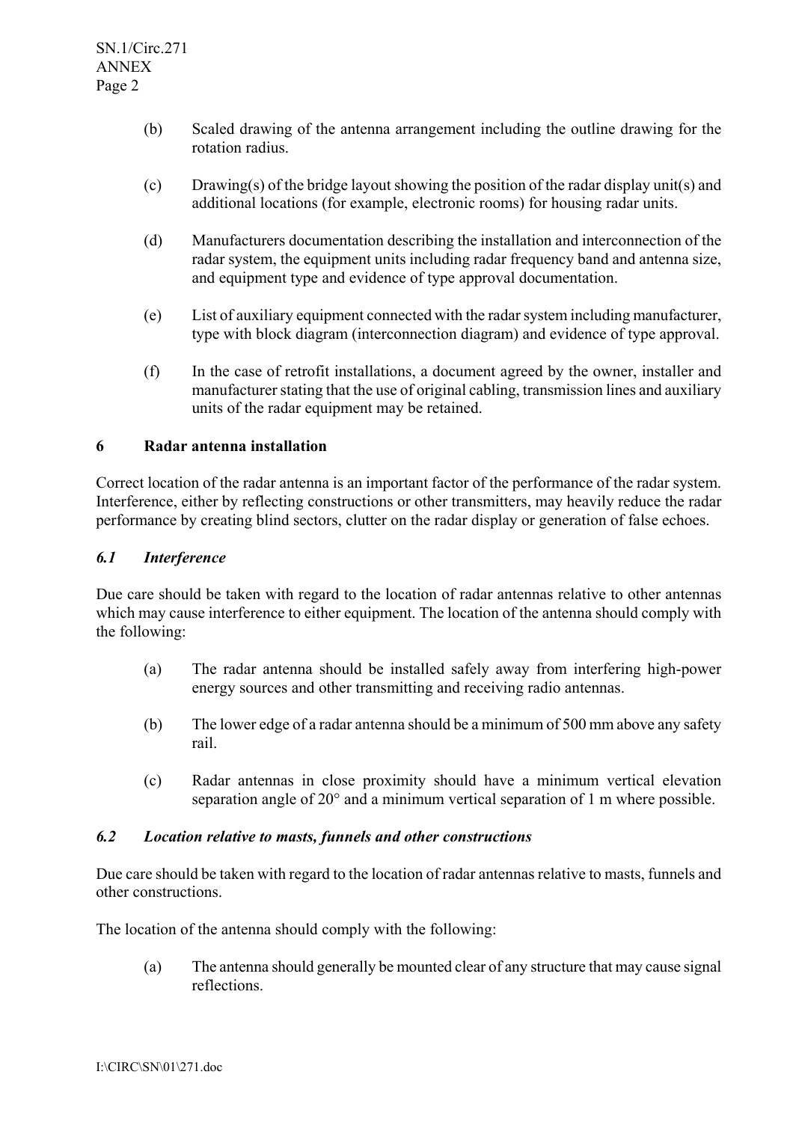- (b) Scaled drawing of the antenna arrangement including the outline drawing for the rotation radius.
- (c) Drawing(s) of the bridge layout showing the position of the radar display unit(s) and additional locations (for example, electronic rooms) for housing radar units.
- (d) Manufacturers documentation describing the installation and interconnection of the radar system, the equipment units including radar frequency band and antenna size, and equipment type and evidence of type approval documentation.
- (e) List of auxiliary equipment connected with the radar system including manufacturer, type with block diagram (interconnection diagram) and evidence of type approval.
- (f) In the case of retrofit installations, a document agreed by the owner, installer and manufacturer stating that the use of original cabling, transmission lines and auxiliary units of the radar equipment may be retained.

## **6 Radar antenna installation**

Correct location of the radar antenna is an important factor of the performance of the radar system. Interference, either by reflecting constructions or other transmitters, may heavily reduce the radar performance by creating blind sectors, clutter on the radar display or generation of false echoes.

#### *6.1 Interference*

Due care should be taken with regard to the location of radar antennas relative to other antennas which may cause interference to either equipment. The location of the antenna should comply with the following:

- (a) The radar antenna should be installed safely away from interfering high-power energy sources and other transmitting and receiving radio antennas.
- (b) The lower edge of a radar antenna should be a minimum of 500 mm above any safety rail.
- (c) Radar antennas in close proximity should have a minimum vertical elevation separation angle of 20° and a minimum vertical separation of 1 m where possible.

#### *6.2 Location relative to masts, funnels and other constructions*

Due care should be taken with regard to the location of radar antennas relative to masts, funnels and other constructions.

The location of the antenna should comply with the following:

(a) The antenna should generally be mounted clear of any structure that may cause signal reflections.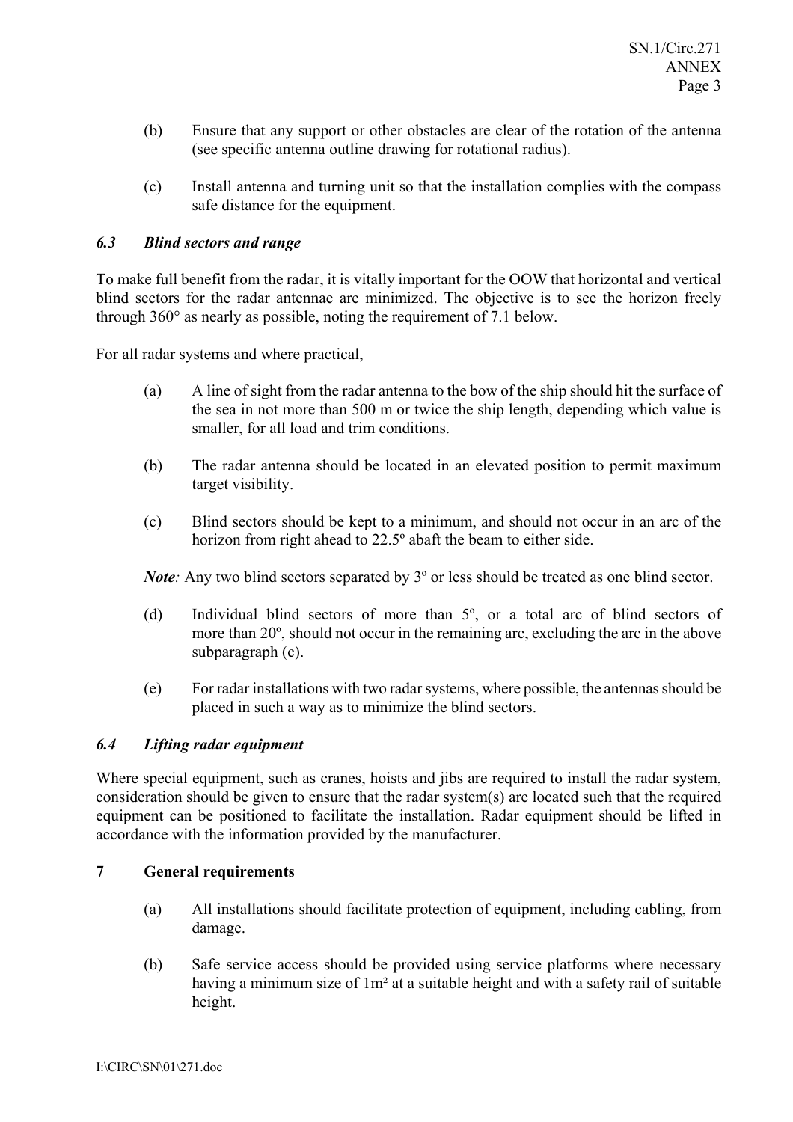- (b) Ensure that any support or other obstacles are clear of the rotation of the antenna (see specific antenna outline drawing for rotational radius).
- (c) Install antenna and turning unit so that the installation complies with the compass safe distance for the equipment.

# *6.3 Blind sectors and range*

To make full benefit from the radar, it is vitally important for the OOW that horizontal and vertical blind sectors for the radar antennae are minimized. The objective is to see the horizon freely through 360° as nearly as possible, noting the requirement of 7.1 below.

For all radar systems and where practical,

- (a) A line of sight from the radar antenna to the bow of the ship should hit the surface of the sea in not more than 500 m or twice the ship length, depending which value is smaller, for all load and trim conditions.
- (b) The radar antenna should be located in an elevated position to permit maximum target visibility.
- (c) Blind sectors should be kept to a minimum, and should not occur in an arc of the horizon from right ahead to 22.5º abaft the beam to either side.

*Note:* Any two blind sectors separated by 3<sup>°</sup> or less should be treated as one blind sector.

- (d) Individual blind sectors of more than 5º, or a total arc of blind sectors of more than 20º, should not occur in the remaining arc, excluding the arc in the above subparagraph (c).
- (e) For radar installations with two radar systems, where possible, the antennas should be placed in such a way as to minimize the blind sectors.

#### *6.4 Lifting radar equipment*

Where special equipment, such as cranes, hoists and jibs are required to install the radar system, consideration should be given to ensure that the radar system(s) are located such that the required equipment can be positioned to facilitate the installation. Radar equipment should be lifted in accordance with the information provided by the manufacturer.

#### **7 General requirements**

- (a) All installations should facilitate protection of equipment, including cabling, from damage.
- (b) Safe service access should be provided using service platforms where necessary having a minimum size of 1m² at a suitable height and with a safety rail of suitable height.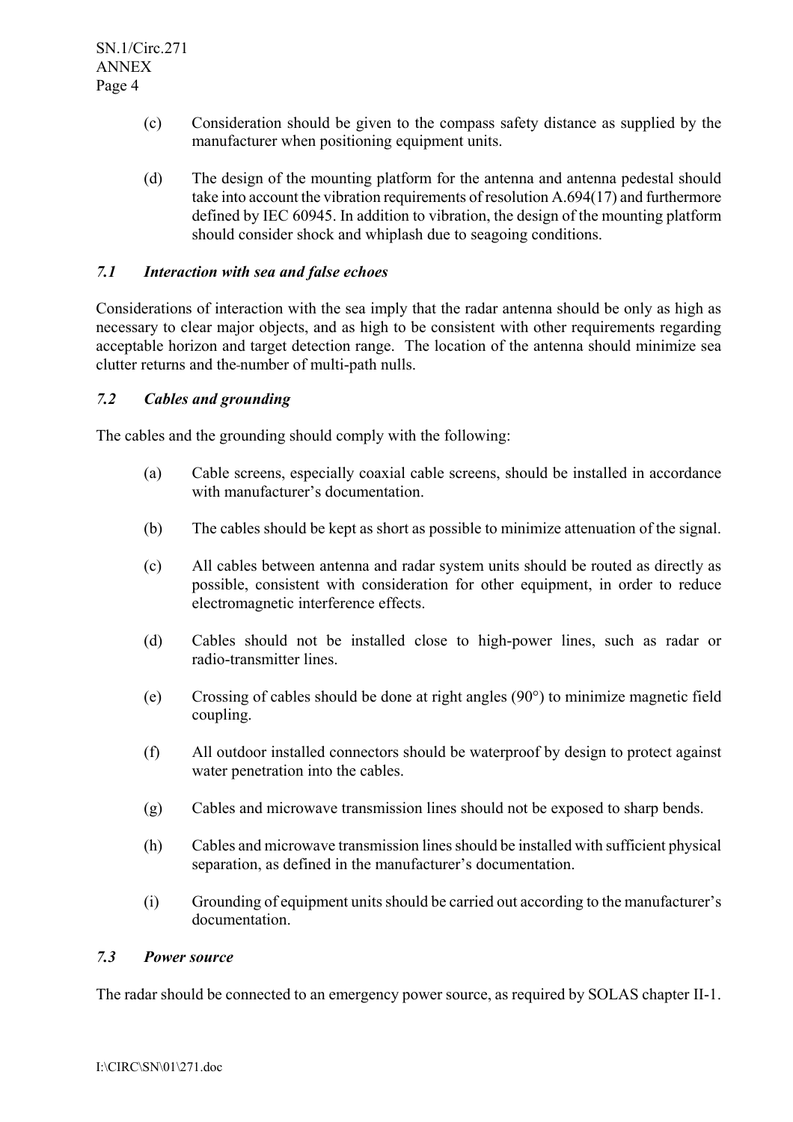- (c) Consideration should be given to the compass safety distance as supplied by the manufacturer when positioning equipment units.
- (d) The design of the mounting platform for the antenna and antenna pedestal should take into account the vibration requirements of resolution A.694(17) and furthermore defined by IEC 60945. In addition to vibration, the design of the mounting platform should consider shock and whiplash due to seagoing conditions.

# *7.1 Interaction with sea and false echoes*

Considerations of interaction with the sea imply that the radar antenna should be only as high as necessary to clear major objects, and as high to be consistent with other requirements regarding acceptable horizon and target detection range. The location of the antenna should minimize sea clutter returns and the number of multi-path nulls.

#### *7.2 Cables and grounding*

The cables and the grounding should comply with the following:

- (a) Cable screens, especially coaxial cable screens, should be installed in accordance with manufacturer's documentation.
- (b) The cables should be kept as short as possible to minimize attenuation of the signal.
- (c) All cables between antenna and radar system units should be routed as directly as possible, consistent with consideration for other equipment, in order to reduce electromagnetic interference effects.
- (d) Cables should not be installed close to high-power lines, such as radar or radio-transmitter lines.
- (e) Crossing of cables should be done at right angles (90°) to minimize magnetic field coupling.
- (f) All outdoor installed connectors should be waterproof by design to protect against water penetration into the cables.
- (g) Cables and microwave transmission lines should not be exposed to sharp bends.
- (h) Cables and microwave transmission lines should be installed with sufficient physical separation, as defined in the manufacturer's documentation.
- (i) Grounding of equipment units should be carried out according to the manufacturer's documentation.

# *7.3 Power source*

The radar should be connected to an emergency power source, as required by SOLAS chapter II-1.